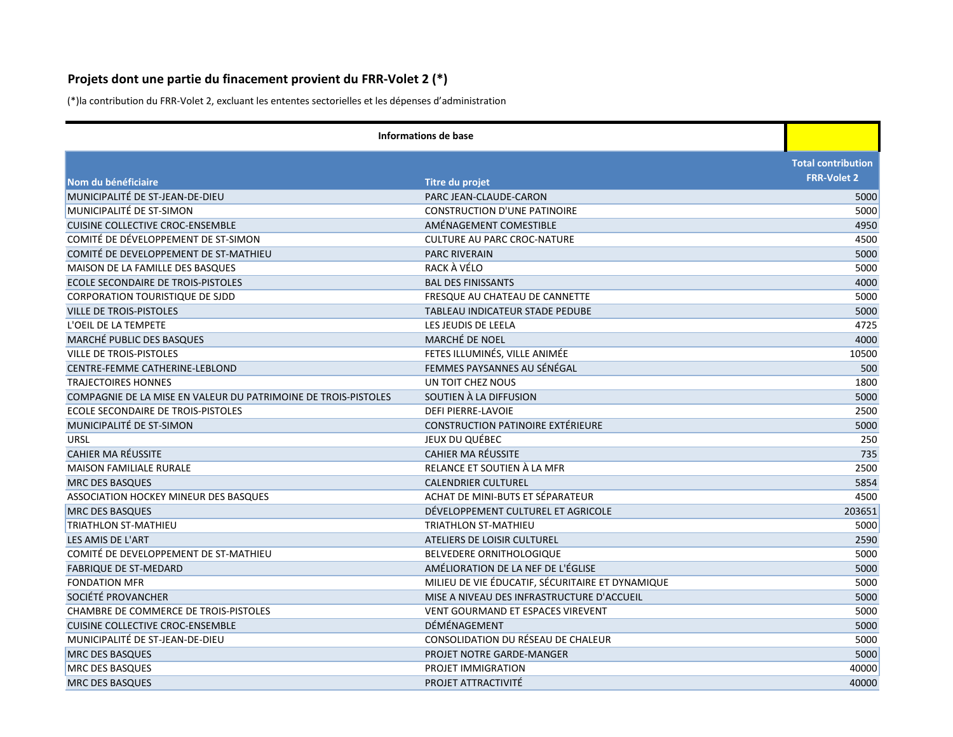## **Projets dont une partie du finacement provient du FRR-Volet 2 (\*)**

(\*)la contribution du FRR-Volet 2, excluant les ententes sectorielles et les dépenses d'administration

| Informations de base                                           |                                                  |                           |
|----------------------------------------------------------------|--------------------------------------------------|---------------------------|
|                                                                |                                                  | <b>Total contribution</b> |
| Nom du bénéficiaire                                            | Titre du projet                                  | <b>FRR-Volet 2</b>        |
| MUNICIPALITÉ DE ST-JEAN-DE-DIEU                                | PARC JEAN-CLAUDE-CARON                           | 5000                      |
| MUNICIPALITÉ DE ST-SIMON                                       | <b>CONSTRUCTION D'UNE PATINOIRE</b>              | 5000                      |
| <b>CUISINE COLLECTIVE CROC-ENSEMBLE</b>                        | AMÉNAGEMENT COMESTIBLE                           | 4950                      |
| COMITÉ DE DÉVELOPPEMENT DE ST-SIMON                            | <b>CULTURE AU PARC CROC-NATURE</b>               | 4500                      |
| COMITÉ DE DEVELOPPEMENT DE ST-MATHIEU                          | <b>PARC RIVERAIN</b>                             | 5000                      |
| MAISON DE LA FAMILLE DES BASQUES                               | RACK À VÉLO                                      | 5000                      |
| ECOLE SECONDAIRE DE TROIS-PISTOLES                             | <b>BAL DES FINISSANTS</b>                        | 4000                      |
| <b>CORPORATION TOURISTIQUE DE SJDD</b>                         | FRESQUE AU CHATEAU DE CANNETTE                   | 5000                      |
| <b>VILLE DE TROIS-PISTOLES</b>                                 | TABLEAU INDICATEUR STADE PEDUBE                  | 5000                      |
| L'OEIL DE LA TEMPETE                                           | LES JEUDIS DE LEELA                              | 4725                      |
| MARCHÉ PUBLIC DES BASQUES                                      | MARCHÉ DE NOEL                                   | 4000                      |
| <b>VILLE DE TROIS-PISTOLES</b>                                 | FETES ILLUMINÉS, VILLE ANIMÉE                    | 10500                     |
| CENTRE-FEMME CATHERINE-LEBLOND                                 | FEMMES PAYSANNES AU SÉNÉGAL                      | 500                       |
| <b>TRAJECTOIRES HONNES</b>                                     | UN TOIT CHEZ NOUS                                | 1800                      |
| COMPAGNIE DE LA MISE EN VALEUR DU PATRIMOINE DE TROIS-PISTOLES | SOUTIEN À LA DIFFUSION                           | 5000                      |
| ECOLE SECONDAIRE DE TROIS-PISTOLES                             | DEFI PIERRE-LAVOIE                               | 2500                      |
| MUNICIPALITÉ DE ST-SIMON                                       | <b>CONSTRUCTION PATINOIRE EXTÉRIEURE</b>         | 5000                      |
| URSL                                                           | JEUX DU QUÉBEC                                   | 250                       |
| <b>CAHIER MA RÉUSSITE</b>                                      | <b>CAHIER MA RÉUSSITE</b>                        | 735                       |
| <b>MAISON FAMILIALE RURALE</b>                                 | RELANCE ET SOUTIEN À LA MFR                      | 2500                      |
| <b>MRC DES BASQUES</b>                                         | <b>CALENDRIER CULTUREL</b>                       | 5854                      |
| ASSOCIATION HOCKEY MINEUR DES BASQUES                          | ACHAT DE MINI-BUTS ET SÉPARATEUR                 | 4500                      |
| <b>MRC DES BASQUES</b>                                         | DÉVELOPPEMENT CULTUREL ET AGRICOLE               | 203651                    |
| <b>TRIATHLON ST-MATHIEU</b>                                    | <b>TRIATHLON ST-MATHIEU</b>                      | 5000                      |
| LES AMIS DE L'ART                                              | ATELIERS DE LOISIR CULTUREL                      | 2590                      |
| COMITÉ DE DEVELOPPEMENT DE ST-MATHIEU                          | BELVEDERE ORNITHOLOGIQUE                         | 5000                      |
| <b>FABRIQUE DE ST-MEDARD</b>                                   | AMÉLIORATION DE LA NEF DE L'ÉGLISE               | 5000                      |
| <b>FONDATION MFR</b>                                           | MILIEU DE VIE ÉDUCATIF, SÉCURITAIRE ET DYNAMIQUE | 5000                      |
| SOCIÉTÉ PROVANCHER                                             | MISE A NIVEAU DES INFRASTRUCTURE D'ACCUEIL       | 5000                      |
| <b>CHAMBRE DE COMMERCE DE TROIS-PISTOLES</b>                   | <b>VENT GOURMAND ET ESPACES VIREVENT</b>         | 5000                      |
| <b>CUISINE COLLECTIVE CROC-ENSEMBLE</b>                        | DÉMÉNAGEMENT                                     | 5000                      |
| MUNICIPALITÉ DE ST-JEAN-DE-DIEU                                | CONSOLIDATION DU RÉSEAU DE CHALEUR               | 5000                      |
| <b>MRC DES BASQUES</b>                                         | PROJET NOTRE GARDE-MANGER                        | 5000                      |
| <b>MRC DES BASQUES</b>                                         | PROJET IMMIGRATION                               | 40000                     |
| <b>MRC DES BASQUES</b>                                         | PROJET ATTRACTIVITÉ                              | 40000                     |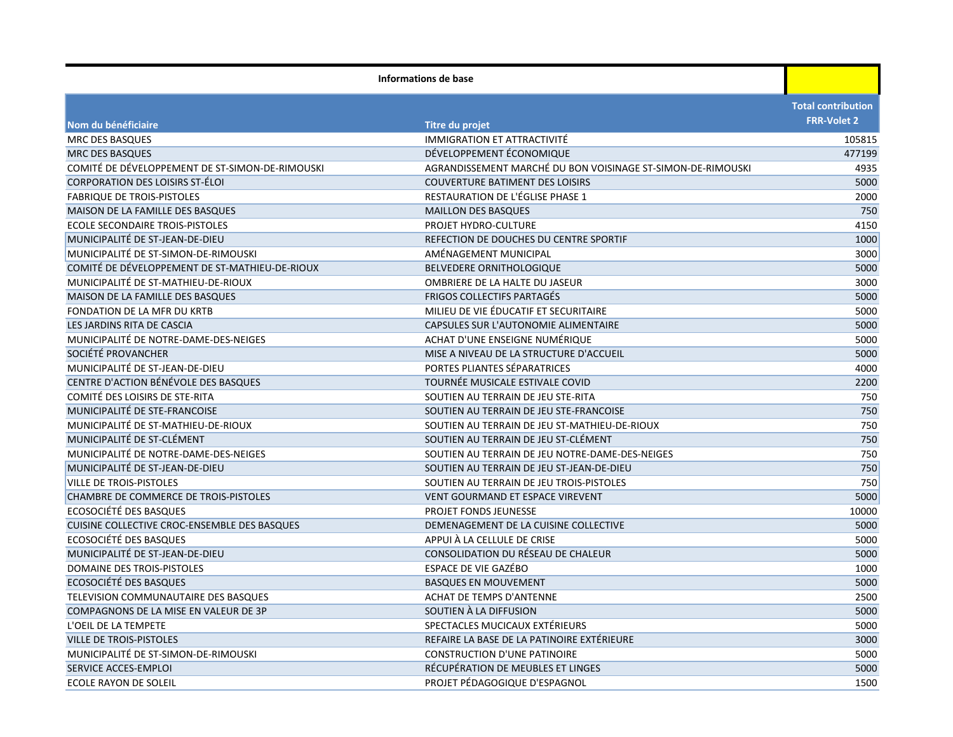| <b>Total contribution</b><br><b>FRR-Volet 2</b><br>Nom du bénéficiaire<br><b>Titre du projet</b><br><b>MRC DES BASQUES</b><br>IMMIGRATION ET ATTRACTIVITÉ<br>105815<br>DÉVELOPPEMENT ÉCONOMIQUE<br>MRC DES BASQUES<br>477199<br>COMITÉ DE DÉVELOPPEMENT DE ST-SIMON-DE-RIMOUSKI<br>AGRANDISSEMENT MARCHÉ DU BON VOISINAGE ST-SIMON-DE-RIMOUSKI<br>4935<br><b>CORPORATION DES LOISIRS ST-ÉLOI</b><br><b>COUVERTURE BATIMENT DES LOISIRS</b><br>5000<br><b>FABRIQUE DE TROIS-PISTOLES</b><br>RESTAURATION DE L'ÉGLISE PHASE 1<br>2000<br>750<br><b>MAISON DE LA FAMILLE DES BASQUES</b><br><b>MAILLON DES BASQUES</b><br>4150<br><b>ECOLE SECONDAIRE TROIS-PISTOLES</b><br>PROJET HYDRO-CULTURE<br>MUNICIPALITÉ DE ST-JEAN-DE-DIEU<br>REFECTION DE DOUCHES DU CENTRE SPORTIF<br>1000<br>MUNICIPALITÉ DE ST-SIMON-DE-RIMOUSKI<br>3000<br>AMÉNAGEMENT MUNICIPAL<br>COMITÉ DE DÉVELOPPEMENT DE ST-MATHIEU-DE-RIOUX<br>5000<br><b>BELVEDERE ORNITHOLOGIQUE</b><br>MUNICIPALITÉ DE ST-MATHIEU-DE-RIOUX<br>OMBRIERE DE LA HALTE DU JASEUR<br>3000<br>5000<br>MAISON DE LA FAMILLE DES BASQUES<br><b>FRIGOS COLLECTIFS PARTAGÉS</b><br>MILIEU DE VIE ÉDUCATIF ET SECURITAIRE<br>5000<br>FONDATION DE LA MFR DU KRTB<br>CAPSULES SUR L'AUTONOMIE ALIMENTAIRE<br>LES JARDINS RITA DE CASCIA<br>5000<br>MUNICIPALITÉ DE NOTRE-DAME-DES-NEIGES<br>ACHAT D'UNE ENSEIGNE NUMÉRIQUE<br>5000<br>SOCIÉTÉ PROVANCHER<br>MISE A NIVEAU DE LA STRUCTURE D'ACCUEIL<br>5000<br>PORTES PLIANTES SÉPARATRICES<br>MUNICIPALITÉ DE ST-JEAN-DE-DIEU<br>4000<br>CENTRE D'ACTION BÉNÉVOLE DES BASQUES<br>TOURNÉE MUSICALE ESTIVALE COVID<br>2200<br>COMITÉ DES LOISIRS DE STE-RITA<br>SOUTIEN AU TERRAIN DE JEU STE-RITA<br>750<br>MUNICIPALITÉ DE STE-FRANCOISE<br>SOUTIEN AU TERRAIN DE JEU STE-FRANCOISE<br>750<br>MUNICIPALITÉ DE ST-MATHIEU-DE-RIOUX<br>750<br>SOUTIEN AU TERRAIN DE JEU ST-MATHIEU-DE-RIOUX<br>MUNICIPALITÉ DE ST-CLÉMENT<br>750<br>SOUTIEN AU TERRAIN DE JEU ST-CLÉMENT<br>750<br>MUNICIPALITÉ DE NOTRE-DAME-DES-NEIGES<br>SOUTIEN AU TERRAIN DE JEU NOTRE-DAME-DES-NEIGES<br>MUNICIPALITÉ DE ST-JEAN-DE-DIEU<br>750<br>SOUTIEN AU TERRAIN DE JEU ST-JEAN-DE-DIEU<br>750<br><b>VILLE DE TROIS-PISTOLES</b><br>SOUTIEN AU TERRAIN DE JEU TROIS-PISTOLES<br><b>VENT GOURMAND ET ESPACE VIREVENT</b><br>5000<br>CHAMBRE DE COMMERCE DE TROIS-PISTOLES<br>ECOSOCIÉTÉ DES BASQUES<br>PROJET FONDS JEUNESSE<br>10000<br>CUISINE COLLECTIVE CROC-ENSEMBLE DES BASQUES<br>DEMENAGEMENT DE LA CUISINE COLLECTIVE<br>5000<br>ECOSOCIÉTÉ DES BASQUES<br>APPUI À LA CELLULE DE CRISE<br>5000<br>MUNICIPALITÉ DE ST-JEAN-DE-DIEU<br>CONSOLIDATION DU RÉSEAU DE CHALEUR<br>5000<br>DOMAINE DES TROIS-PISTOLES<br>ESPACE DE VIE GAZÉBO<br>1000<br>ECOSOCIÉTÉ DES BASQUES<br>5000<br><b>BASQUES EN MOUVEMENT</b><br><b>ACHAT DE TEMPS D'ANTENNE</b><br>2500<br>TELEVISION COMMUNAUTAIRE DES BASQUES<br>COMPAGNONS DE LA MISE EN VALEUR DE 3P<br>SOUTIEN À LA DIFFUSION<br>5000<br>SPECTACLES MUCICAUX EXTÉRIEURS<br>5000<br>L'OEIL DE LA TEMPETE<br>REFAIRE LA BASE DE LA PATINOIRE EXTÉRIEURE<br>3000<br>VILLE DE TROIS-PISTOLES<br>MUNICIPALITÉ DE ST-SIMON-DE-RIMOUSKI<br><b>CONSTRUCTION D'UNE PATINOIRE</b><br>5000<br>RÉCUPÉRATION DE MEUBLES ET LINGES<br>5000<br>SERVICE ACCES-EMPLOI<br>PROJET PÉDAGOGIQUE D'ESPAGNOL<br><b>ECOLE RAYON DE SOLEIL</b><br>1500 | Informations de base |  |  |
|-------------------------------------------------------------------------------------------------------------------------------------------------------------------------------------------------------------------------------------------------------------------------------------------------------------------------------------------------------------------------------------------------------------------------------------------------------------------------------------------------------------------------------------------------------------------------------------------------------------------------------------------------------------------------------------------------------------------------------------------------------------------------------------------------------------------------------------------------------------------------------------------------------------------------------------------------------------------------------------------------------------------------------------------------------------------------------------------------------------------------------------------------------------------------------------------------------------------------------------------------------------------------------------------------------------------------------------------------------------------------------------------------------------------------------------------------------------------------------------------------------------------------------------------------------------------------------------------------------------------------------------------------------------------------------------------------------------------------------------------------------------------------------------------------------------------------------------------------------------------------------------------------------------------------------------------------------------------------------------------------------------------------------------------------------------------------------------------------------------------------------------------------------------------------------------------------------------------------------------------------------------------------------------------------------------------------------------------------------------------------------------------------------------------------------------------------------------------------------------------------------------------------------------------------------------------------------------------------------------------------------------------------------------------------------------------------------------------------------------------------------------------------------------------------------------------------------------------------------------------------------------------------------------------------------------------------------------------------------------------------------------------------------------------------------------------------------------------------------------------------------------------------------------------------------------------------------------------------------------------------------------------------------------------------------------------------------------------------|----------------------|--|--|
|                                                                                                                                                                                                                                                                                                                                                                                                                                                                                                                                                                                                                                                                                                                                                                                                                                                                                                                                                                                                                                                                                                                                                                                                                                                                                                                                                                                                                                                                                                                                                                                                                                                                                                                                                                                                                                                                                                                                                                                                                                                                                                                                                                                                                                                                                                                                                                                                                                                                                                                                                                                                                                                                                                                                                                                                                                                                                                                                                                                                                                                                                                                                                                                                                                                                                                                                                 |                      |  |  |
|                                                                                                                                                                                                                                                                                                                                                                                                                                                                                                                                                                                                                                                                                                                                                                                                                                                                                                                                                                                                                                                                                                                                                                                                                                                                                                                                                                                                                                                                                                                                                                                                                                                                                                                                                                                                                                                                                                                                                                                                                                                                                                                                                                                                                                                                                                                                                                                                                                                                                                                                                                                                                                                                                                                                                                                                                                                                                                                                                                                                                                                                                                                                                                                                                                                                                                                                                 |                      |  |  |
|                                                                                                                                                                                                                                                                                                                                                                                                                                                                                                                                                                                                                                                                                                                                                                                                                                                                                                                                                                                                                                                                                                                                                                                                                                                                                                                                                                                                                                                                                                                                                                                                                                                                                                                                                                                                                                                                                                                                                                                                                                                                                                                                                                                                                                                                                                                                                                                                                                                                                                                                                                                                                                                                                                                                                                                                                                                                                                                                                                                                                                                                                                                                                                                                                                                                                                                                                 |                      |  |  |
|                                                                                                                                                                                                                                                                                                                                                                                                                                                                                                                                                                                                                                                                                                                                                                                                                                                                                                                                                                                                                                                                                                                                                                                                                                                                                                                                                                                                                                                                                                                                                                                                                                                                                                                                                                                                                                                                                                                                                                                                                                                                                                                                                                                                                                                                                                                                                                                                                                                                                                                                                                                                                                                                                                                                                                                                                                                                                                                                                                                                                                                                                                                                                                                                                                                                                                                                                 |                      |  |  |
|                                                                                                                                                                                                                                                                                                                                                                                                                                                                                                                                                                                                                                                                                                                                                                                                                                                                                                                                                                                                                                                                                                                                                                                                                                                                                                                                                                                                                                                                                                                                                                                                                                                                                                                                                                                                                                                                                                                                                                                                                                                                                                                                                                                                                                                                                                                                                                                                                                                                                                                                                                                                                                                                                                                                                                                                                                                                                                                                                                                                                                                                                                                                                                                                                                                                                                                                                 |                      |  |  |
|                                                                                                                                                                                                                                                                                                                                                                                                                                                                                                                                                                                                                                                                                                                                                                                                                                                                                                                                                                                                                                                                                                                                                                                                                                                                                                                                                                                                                                                                                                                                                                                                                                                                                                                                                                                                                                                                                                                                                                                                                                                                                                                                                                                                                                                                                                                                                                                                                                                                                                                                                                                                                                                                                                                                                                                                                                                                                                                                                                                                                                                                                                                                                                                                                                                                                                                                                 |                      |  |  |
|                                                                                                                                                                                                                                                                                                                                                                                                                                                                                                                                                                                                                                                                                                                                                                                                                                                                                                                                                                                                                                                                                                                                                                                                                                                                                                                                                                                                                                                                                                                                                                                                                                                                                                                                                                                                                                                                                                                                                                                                                                                                                                                                                                                                                                                                                                                                                                                                                                                                                                                                                                                                                                                                                                                                                                                                                                                                                                                                                                                                                                                                                                                                                                                                                                                                                                                                                 |                      |  |  |
|                                                                                                                                                                                                                                                                                                                                                                                                                                                                                                                                                                                                                                                                                                                                                                                                                                                                                                                                                                                                                                                                                                                                                                                                                                                                                                                                                                                                                                                                                                                                                                                                                                                                                                                                                                                                                                                                                                                                                                                                                                                                                                                                                                                                                                                                                                                                                                                                                                                                                                                                                                                                                                                                                                                                                                                                                                                                                                                                                                                                                                                                                                                                                                                                                                                                                                                                                 |                      |  |  |
|                                                                                                                                                                                                                                                                                                                                                                                                                                                                                                                                                                                                                                                                                                                                                                                                                                                                                                                                                                                                                                                                                                                                                                                                                                                                                                                                                                                                                                                                                                                                                                                                                                                                                                                                                                                                                                                                                                                                                                                                                                                                                                                                                                                                                                                                                                                                                                                                                                                                                                                                                                                                                                                                                                                                                                                                                                                                                                                                                                                                                                                                                                                                                                                                                                                                                                                                                 |                      |  |  |
|                                                                                                                                                                                                                                                                                                                                                                                                                                                                                                                                                                                                                                                                                                                                                                                                                                                                                                                                                                                                                                                                                                                                                                                                                                                                                                                                                                                                                                                                                                                                                                                                                                                                                                                                                                                                                                                                                                                                                                                                                                                                                                                                                                                                                                                                                                                                                                                                                                                                                                                                                                                                                                                                                                                                                                                                                                                                                                                                                                                                                                                                                                                                                                                                                                                                                                                                                 |                      |  |  |
|                                                                                                                                                                                                                                                                                                                                                                                                                                                                                                                                                                                                                                                                                                                                                                                                                                                                                                                                                                                                                                                                                                                                                                                                                                                                                                                                                                                                                                                                                                                                                                                                                                                                                                                                                                                                                                                                                                                                                                                                                                                                                                                                                                                                                                                                                                                                                                                                                                                                                                                                                                                                                                                                                                                                                                                                                                                                                                                                                                                                                                                                                                                                                                                                                                                                                                                                                 |                      |  |  |
|                                                                                                                                                                                                                                                                                                                                                                                                                                                                                                                                                                                                                                                                                                                                                                                                                                                                                                                                                                                                                                                                                                                                                                                                                                                                                                                                                                                                                                                                                                                                                                                                                                                                                                                                                                                                                                                                                                                                                                                                                                                                                                                                                                                                                                                                                                                                                                                                                                                                                                                                                                                                                                                                                                                                                                                                                                                                                                                                                                                                                                                                                                                                                                                                                                                                                                                                                 |                      |  |  |
|                                                                                                                                                                                                                                                                                                                                                                                                                                                                                                                                                                                                                                                                                                                                                                                                                                                                                                                                                                                                                                                                                                                                                                                                                                                                                                                                                                                                                                                                                                                                                                                                                                                                                                                                                                                                                                                                                                                                                                                                                                                                                                                                                                                                                                                                                                                                                                                                                                                                                                                                                                                                                                                                                                                                                                                                                                                                                                                                                                                                                                                                                                                                                                                                                                                                                                                                                 |                      |  |  |
|                                                                                                                                                                                                                                                                                                                                                                                                                                                                                                                                                                                                                                                                                                                                                                                                                                                                                                                                                                                                                                                                                                                                                                                                                                                                                                                                                                                                                                                                                                                                                                                                                                                                                                                                                                                                                                                                                                                                                                                                                                                                                                                                                                                                                                                                                                                                                                                                                                                                                                                                                                                                                                                                                                                                                                                                                                                                                                                                                                                                                                                                                                                                                                                                                                                                                                                                                 |                      |  |  |
|                                                                                                                                                                                                                                                                                                                                                                                                                                                                                                                                                                                                                                                                                                                                                                                                                                                                                                                                                                                                                                                                                                                                                                                                                                                                                                                                                                                                                                                                                                                                                                                                                                                                                                                                                                                                                                                                                                                                                                                                                                                                                                                                                                                                                                                                                                                                                                                                                                                                                                                                                                                                                                                                                                                                                                                                                                                                                                                                                                                                                                                                                                                                                                                                                                                                                                                                                 |                      |  |  |
|                                                                                                                                                                                                                                                                                                                                                                                                                                                                                                                                                                                                                                                                                                                                                                                                                                                                                                                                                                                                                                                                                                                                                                                                                                                                                                                                                                                                                                                                                                                                                                                                                                                                                                                                                                                                                                                                                                                                                                                                                                                                                                                                                                                                                                                                                                                                                                                                                                                                                                                                                                                                                                                                                                                                                                                                                                                                                                                                                                                                                                                                                                                                                                                                                                                                                                                                                 |                      |  |  |
|                                                                                                                                                                                                                                                                                                                                                                                                                                                                                                                                                                                                                                                                                                                                                                                                                                                                                                                                                                                                                                                                                                                                                                                                                                                                                                                                                                                                                                                                                                                                                                                                                                                                                                                                                                                                                                                                                                                                                                                                                                                                                                                                                                                                                                                                                                                                                                                                                                                                                                                                                                                                                                                                                                                                                                                                                                                                                                                                                                                                                                                                                                                                                                                                                                                                                                                                                 |                      |  |  |
|                                                                                                                                                                                                                                                                                                                                                                                                                                                                                                                                                                                                                                                                                                                                                                                                                                                                                                                                                                                                                                                                                                                                                                                                                                                                                                                                                                                                                                                                                                                                                                                                                                                                                                                                                                                                                                                                                                                                                                                                                                                                                                                                                                                                                                                                                                                                                                                                                                                                                                                                                                                                                                                                                                                                                                                                                                                                                                                                                                                                                                                                                                                                                                                                                                                                                                                                                 |                      |  |  |
|                                                                                                                                                                                                                                                                                                                                                                                                                                                                                                                                                                                                                                                                                                                                                                                                                                                                                                                                                                                                                                                                                                                                                                                                                                                                                                                                                                                                                                                                                                                                                                                                                                                                                                                                                                                                                                                                                                                                                                                                                                                                                                                                                                                                                                                                                                                                                                                                                                                                                                                                                                                                                                                                                                                                                                                                                                                                                                                                                                                                                                                                                                                                                                                                                                                                                                                                                 |                      |  |  |
|                                                                                                                                                                                                                                                                                                                                                                                                                                                                                                                                                                                                                                                                                                                                                                                                                                                                                                                                                                                                                                                                                                                                                                                                                                                                                                                                                                                                                                                                                                                                                                                                                                                                                                                                                                                                                                                                                                                                                                                                                                                                                                                                                                                                                                                                                                                                                                                                                                                                                                                                                                                                                                                                                                                                                                                                                                                                                                                                                                                                                                                                                                                                                                                                                                                                                                                                                 |                      |  |  |
|                                                                                                                                                                                                                                                                                                                                                                                                                                                                                                                                                                                                                                                                                                                                                                                                                                                                                                                                                                                                                                                                                                                                                                                                                                                                                                                                                                                                                                                                                                                                                                                                                                                                                                                                                                                                                                                                                                                                                                                                                                                                                                                                                                                                                                                                                                                                                                                                                                                                                                                                                                                                                                                                                                                                                                                                                                                                                                                                                                                                                                                                                                                                                                                                                                                                                                                                                 |                      |  |  |
|                                                                                                                                                                                                                                                                                                                                                                                                                                                                                                                                                                                                                                                                                                                                                                                                                                                                                                                                                                                                                                                                                                                                                                                                                                                                                                                                                                                                                                                                                                                                                                                                                                                                                                                                                                                                                                                                                                                                                                                                                                                                                                                                                                                                                                                                                                                                                                                                                                                                                                                                                                                                                                                                                                                                                                                                                                                                                                                                                                                                                                                                                                                                                                                                                                                                                                                                                 |                      |  |  |
|                                                                                                                                                                                                                                                                                                                                                                                                                                                                                                                                                                                                                                                                                                                                                                                                                                                                                                                                                                                                                                                                                                                                                                                                                                                                                                                                                                                                                                                                                                                                                                                                                                                                                                                                                                                                                                                                                                                                                                                                                                                                                                                                                                                                                                                                                                                                                                                                                                                                                                                                                                                                                                                                                                                                                                                                                                                                                                                                                                                                                                                                                                                                                                                                                                                                                                                                                 |                      |  |  |
|                                                                                                                                                                                                                                                                                                                                                                                                                                                                                                                                                                                                                                                                                                                                                                                                                                                                                                                                                                                                                                                                                                                                                                                                                                                                                                                                                                                                                                                                                                                                                                                                                                                                                                                                                                                                                                                                                                                                                                                                                                                                                                                                                                                                                                                                                                                                                                                                                                                                                                                                                                                                                                                                                                                                                                                                                                                                                                                                                                                                                                                                                                                                                                                                                                                                                                                                                 |                      |  |  |
|                                                                                                                                                                                                                                                                                                                                                                                                                                                                                                                                                                                                                                                                                                                                                                                                                                                                                                                                                                                                                                                                                                                                                                                                                                                                                                                                                                                                                                                                                                                                                                                                                                                                                                                                                                                                                                                                                                                                                                                                                                                                                                                                                                                                                                                                                                                                                                                                                                                                                                                                                                                                                                                                                                                                                                                                                                                                                                                                                                                                                                                                                                                                                                                                                                                                                                                                                 |                      |  |  |
|                                                                                                                                                                                                                                                                                                                                                                                                                                                                                                                                                                                                                                                                                                                                                                                                                                                                                                                                                                                                                                                                                                                                                                                                                                                                                                                                                                                                                                                                                                                                                                                                                                                                                                                                                                                                                                                                                                                                                                                                                                                                                                                                                                                                                                                                                                                                                                                                                                                                                                                                                                                                                                                                                                                                                                                                                                                                                                                                                                                                                                                                                                                                                                                                                                                                                                                                                 |                      |  |  |
|                                                                                                                                                                                                                                                                                                                                                                                                                                                                                                                                                                                                                                                                                                                                                                                                                                                                                                                                                                                                                                                                                                                                                                                                                                                                                                                                                                                                                                                                                                                                                                                                                                                                                                                                                                                                                                                                                                                                                                                                                                                                                                                                                                                                                                                                                                                                                                                                                                                                                                                                                                                                                                                                                                                                                                                                                                                                                                                                                                                                                                                                                                                                                                                                                                                                                                                                                 |                      |  |  |
|                                                                                                                                                                                                                                                                                                                                                                                                                                                                                                                                                                                                                                                                                                                                                                                                                                                                                                                                                                                                                                                                                                                                                                                                                                                                                                                                                                                                                                                                                                                                                                                                                                                                                                                                                                                                                                                                                                                                                                                                                                                                                                                                                                                                                                                                                                                                                                                                                                                                                                                                                                                                                                                                                                                                                                                                                                                                                                                                                                                                                                                                                                                                                                                                                                                                                                                                                 |                      |  |  |
|                                                                                                                                                                                                                                                                                                                                                                                                                                                                                                                                                                                                                                                                                                                                                                                                                                                                                                                                                                                                                                                                                                                                                                                                                                                                                                                                                                                                                                                                                                                                                                                                                                                                                                                                                                                                                                                                                                                                                                                                                                                                                                                                                                                                                                                                                                                                                                                                                                                                                                                                                                                                                                                                                                                                                                                                                                                                                                                                                                                                                                                                                                                                                                                                                                                                                                                                                 |                      |  |  |
|                                                                                                                                                                                                                                                                                                                                                                                                                                                                                                                                                                                                                                                                                                                                                                                                                                                                                                                                                                                                                                                                                                                                                                                                                                                                                                                                                                                                                                                                                                                                                                                                                                                                                                                                                                                                                                                                                                                                                                                                                                                                                                                                                                                                                                                                                                                                                                                                                                                                                                                                                                                                                                                                                                                                                                                                                                                                                                                                                                                                                                                                                                                                                                                                                                                                                                                                                 |                      |  |  |
|                                                                                                                                                                                                                                                                                                                                                                                                                                                                                                                                                                                                                                                                                                                                                                                                                                                                                                                                                                                                                                                                                                                                                                                                                                                                                                                                                                                                                                                                                                                                                                                                                                                                                                                                                                                                                                                                                                                                                                                                                                                                                                                                                                                                                                                                                                                                                                                                                                                                                                                                                                                                                                                                                                                                                                                                                                                                                                                                                                                                                                                                                                                                                                                                                                                                                                                                                 |                      |  |  |
|                                                                                                                                                                                                                                                                                                                                                                                                                                                                                                                                                                                                                                                                                                                                                                                                                                                                                                                                                                                                                                                                                                                                                                                                                                                                                                                                                                                                                                                                                                                                                                                                                                                                                                                                                                                                                                                                                                                                                                                                                                                                                                                                                                                                                                                                                                                                                                                                                                                                                                                                                                                                                                                                                                                                                                                                                                                                                                                                                                                                                                                                                                                                                                                                                                                                                                                                                 |                      |  |  |
|                                                                                                                                                                                                                                                                                                                                                                                                                                                                                                                                                                                                                                                                                                                                                                                                                                                                                                                                                                                                                                                                                                                                                                                                                                                                                                                                                                                                                                                                                                                                                                                                                                                                                                                                                                                                                                                                                                                                                                                                                                                                                                                                                                                                                                                                                                                                                                                                                                                                                                                                                                                                                                                                                                                                                                                                                                                                                                                                                                                                                                                                                                                                                                                                                                                                                                                                                 |                      |  |  |
|                                                                                                                                                                                                                                                                                                                                                                                                                                                                                                                                                                                                                                                                                                                                                                                                                                                                                                                                                                                                                                                                                                                                                                                                                                                                                                                                                                                                                                                                                                                                                                                                                                                                                                                                                                                                                                                                                                                                                                                                                                                                                                                                                                                                                                                                                                                                                                                                                                                                                                                                                                                                                                                                                                                                                                                                                                                                                                                                                                                                                                                                                                                                                                                                                                                                                                                                                 |                      |  |  |
|                                                                                                                                                                                                                                                                                                                                                                                                                                                                                                                                                                                                                                                                                                                                                                                                                                                                                                                                                                                                                                                                                                                                                                                                                                                                                                                                                                                                                                                                                                                                                                                                                                                                                                                                                                                                                                                                                                                                                                                                                                                                                                                                                                                                                                                                                                                                                                                                                                                                                                                                                                                                                                                                                                                                                                                                                                                                                                                                                                                                                                                                                                                                                                                                                                                                                                                                                 |                      |  |  |
|                                                                                                                                                                                                                                                                                                                                                                                                                                                                                                                                                                                                                                                                                                                                                                                                                                                                                                                                                                                                                                                                                                                                                                                                                                                                                                                                                                                                                                                                                                                                                                                                                                                                                                                                                                                                                                                                                                                                                                                                                                                                                                                                                                                                                                                                                                                                                                                                                                                                                                                                                                                                                                                                                                                                                                                                                                                                                                                                                                                                                                                                                                                                                                                                                                                                                                                                                 |                      |  |  |
|                                                                                                                                                                                                                                                                                                                                                                                                                                                                                                                                                                                                                                                                                                                                                                                                                                                                                                                                                                                                                                                                                                                                                                                                                                                                                                                                                                                                                                                                                                                                                                                                                                                                                                                                                                                                                                                                                                                                                                                                                                                                                                                                                                                                                                                                                                                                                                                                                                                                                                                                                                                                                                                                                                                                                                                                                                                                                                                                                                                                                                                                                                                                                                                                                                                                                                                                                 |                      |  |  |
|                                                                                                                                                                                                                                                                                                                                                                                                                                                                                                                                                                                                                                                                                                                                                                                                                                                                                                                                                                                                                                                                                                                                                                                                                                                                                                                                                                                                                                                                                                                                                                                                                                                                                                                                                                                                                                                                                                                                                                                                                                                                                                                                                                                                                                                                                                                                                                                                                                                                                                                                                                                                                                                                                                                                                                                                                                                                                                                                                                                                                                                                                                                                                                                                                                                                                                                                                 |                      |  |  |
|                                                                                                                                                                                                                                                                                                                                                                                                                                                                                                                                                                                                                                                                                                                                                                                                                                                                                                                                                                                                                                                                                                                                                                                                                                                                                                                                                                                                                                                                                                                                                                                                                                                                                                                                                                                                                                                                                                                                                                                                                                                                                                                                                                                                                                                                                                                                                                                                                                                                                                                                                                                                                                                                                                                                                                                                                                                                                                                                                                                                                                                                                                                                                                                                                                                                                                                                                 |                      |  |  |
|                                                                                                                                                                                                                                                                                                                                                                                                                                                                                                                                                                                                                                                                                                                                                                                                                                                                                                                                                                                                                                                                                                                                                                                                                                                                                                                                                                                                                                                                                                                                                                                                                                                                                                                                                                                                                                                                                                                                                                                                                                                                                                                                                                                                                                                                                                                                                                                                                                                                                                                                                                                                                                                                                                                                                                                                                                                                                                                                                                                                                                                                                                                                                                                                                                                                                                                                                 |                      |  |  |
|                                                                                                                                                                                                                                                                                                                                                                                                                                                                                                                                                                                                                                                                                                                                                                                                                                                                                                                                                                                                                                                                                                                                                                                                                                                                                                                                                                                                                                                                                                                                                                                                                                                                                                                                                                                                                                                                                                                                                                                                                                                                                                                                                                                                                                                                                                                                                                                                                                                                                                                                                                                                                                                                                                                                                                                                                                                                                                                                                                                                                                                                                                                                                                                                                                                                                                                                                 |                      |  |  |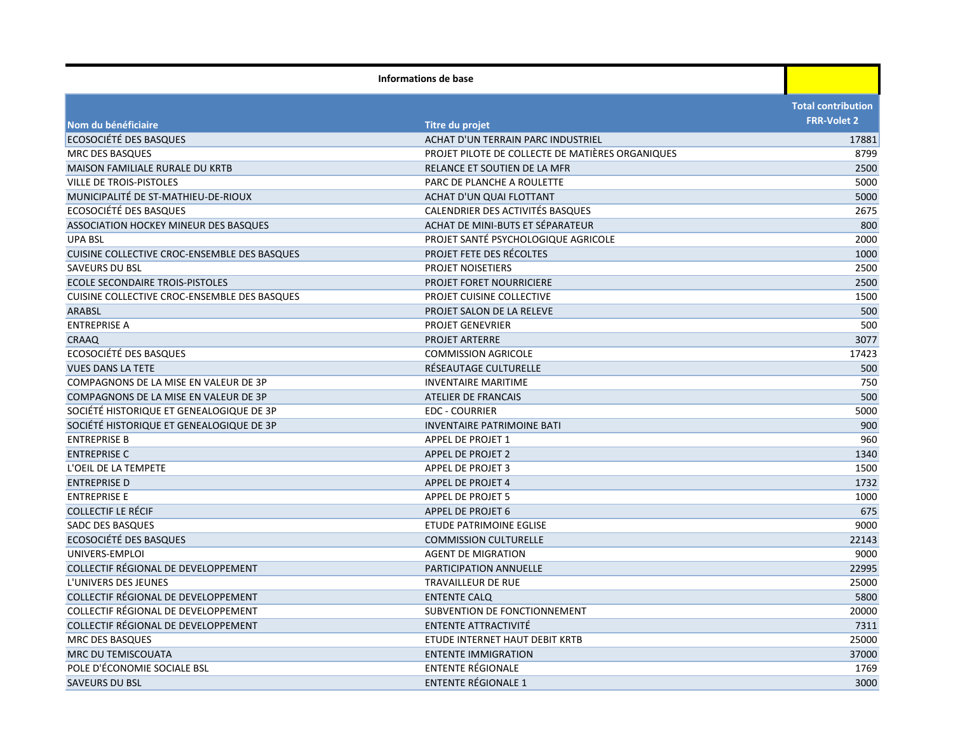| Nom du bénéficiaire<br>Titre du projet<br>ECOSOCIÉTÉ DES BASQUES<br>ACHAT D'UN TERRAIN PARC INDUSTRIEL<br>PROJET PILOTE DE COLLECTE DE MATIÈRES ORGANIQUES<br><b>MRC DES BASQUES</b><br><b>MAISON FAMILIALE RURALE DU KRTB</b><br>RELANCE ET SOUTIEN DE LA MFR<br><b>VILLE DE TROIS-PISTOLES</b><br>PARC DE PLANCHE A ROULETTE | <b>Total contribution</b><br><b>FRR-Volet 2</b><br>17881<br>8799<br>2500<br>5000<br>5000<br>2675 |
|--------------------------------------------------------------------------------------------------------------------------------------------------------------------------------------------------------------------------------------------------------------------------------------------------------------------------------|--------------------------------------------------------------------------------------------------|
|                                                                                                                                                                                                                                                                                                                                |                                                                                                  |
|                                                                                                                                                                                                                                                                                                                                |                                                                                                  |
|                                                                                                                                                                                                                                                                                                                                |                                                                                                  |
|                                                                                                                                                                                                                                                                                                                                |                                                                                                  |
|                                                                                                                                                                                                                                                                                                                                |                                                                                                  |
|                                                                                                                                                                                                                                                                                                                                |                                                                                                  |
| MUNICIPALITÉ DE ST-MATHIEU-DE-RIOUX<br>ACHAT D'UN QUAI FLOTTANT                                                                                                                                                                                                                                                                |                                                                                                  |
| ECOSOCIÉTÉ DES BASQUES<br>CALENDRIER DES ACTIVITÉS BASQUES                                                                                                                                                                                                                                                                     |                                                                                                  |
| ASSOCIATION HOCKEY MINEUR DES BASQUES<br>ACHAT DE MINI-BUTS ET SÉPARATEUR                                                                                                                                                                                                                                                      | 800                                                                                              |
| PROJET SANTÉ PSYCHOLOGIQUE AGRICOLE<br><b>UPA BSL</b>                                                                                                                                                                                                                                                                          | 2000                                                                                             |
| <b>PROJET FETE DES RÉCOLTES</b><br>CUISINE COLLECTIVE CROC-ENSEMBLE DES BASQUES                                                                                                                                                                                                                                                | 1000                                                                                             |
| <b>SAVEURS DU BSL</b><br><b>PROJET NOISETIERS</b>                                                                                                                                                                                                                                                                              | 2500                                                                                             |
| ECOLE SECONDAIRE TROIS-PISTOLES<br>PROJET FORET NOURRICIERE                                                                                                                                                                                                                                                                    | 2500                                                                                             |
| <b>CUISINE COLLECTIVE CROC-ENSEMBLE DES BASQUES</b><br>PROJET CUISINE COLLECTIVE                                                                                                                                                                                                                                               | 1500                                                                                             |
| <b>ARABSL</b><br>PROJET SALON DE LA RELEVE                                                                                                                                                                                                                                                                                     | 500                                                                                              |
| <b>ENTREPRISE A</b><br><b>PROJET GENEVRIER</b>                                                                                                                                                                                                                                                                                 | 500                                                                                              |
| CRAAQ<br><b>PROJET ARTERRE</b>                                                                                                                                                                                                                                                                                                 | 3077                                                                                             |
| ECOSOCIÉTÉ DES BASQUES<br><b>COMMISSION AGRICOLE</b>                                                                                                                                                                                                                                                                           | 17423                                                                                            |
| <b>VUES DANS LA TETE</b><br>RÉSEAUTAGE CULTURELLE                                                                                                                                                                                                                                                                              | 500                                                                                              |
| COMPAGNONS DE LA MISE EN VALEUR DE 3P<br><b>INVENTAIRE MARITIME</b>                                                                                                                                                                                                                                                            | 750                                                                                              |
| COMPAGNONS DE LA MISE EN VALEUR DE 3P<br><b>ATELIER DE FRANCAIS</b>                                                                                                                                                                                                                                                            | 500                                                                                              |
| SOCIÉTÉ HISTORIQUE ET GENEALOGIQUE DE 3P<br><b>EDC - COURRIER</b>                                                                                                                                                                                                                                                              | 5000                                                                                             |
| SOCIÈTÉ HISTORIQUE ET GENEALOGIQUE DE 3P<br><b>INVENTAIRE PATRIMOINE BATI</b>                                                                                                                                                                                                                                                  | 900                                                                                              |
| <b>ENTREPRISE B</b><br>APPEL DE PROJET 1                                                                                                                                                                                                                                                                                       | 960                                                                                              |
| <b>ENTREPRISE C</b><br><b>APPEL DE PROJET 2</b>                                                                                                                                                                                                                                                                                | 1340                                                                                             |
| L'OEIL DE LA TEMPETE<br><b>APPEL DE PROJET 3</b>                                                                                                                                                                                                                                                                               | 1500                                                                                             |
| <b>ENTREPRISE D</b><br>APPEL DE PROJET 4                                                                                                                                                                                                                                                                                       | 1732                                                                                             |
| <b>ENTREPRISE E</b><br><b>APPEL DE PROJET 5</b>                                                                                                                                                                                                                                                                                | 1000                                                                                             |
| <b>COLLECTIF LE RÉCIF</b><br>APPEL DE PROJET 6                                                                                                                                                                                                                                                                                 | 675                                                                                              |
| SADC DES BASQUES<br>ETUDE PATRIMOINE EGLISE                                                                                                                                                                                                                                                                                    | 9000                                                                                             |
| ECOSOCIÉTÉ DES BASQUES<br><b>COMMISSION CULTURELLE</b>                                                                                                                                                                                                                                                                         | 22143                                                                                            |
| UNIVERS-EMPLOI<br><b>AGENT DE MIGRATION</b>                                                                                                                                                                                                                                                                                    | 9000                                                                                             |
| COLLECTIF RÉGIONAL DE DEVELOPPEMENT<br>PARTICIPATION ANNUELLE                                                                                                                                                                                                                                                                  | 22995                                                                                            |
| L'UNIVERS DES JEUNES<br>TRAVAILLEUR DE RUE                                                                                                                                                                                                                                                                                     | 25000                                                                                            |
| COLLECTIF RÉGIONAL DE DEVELOPPEMENT<br><b>ENTENTE CALQ</b>                                                                                                                                                                                                                                                                     | 5800                                                                                             |
| COLLECTIF RÉGIONAL DE DEVELOPPEMENT<br>SUBVENTION DE FONCTIONNEMENT                                                                                                                                                                                                                                                            | 20000                                                                                            |
| COLLECTIF RÉGIONAL DE DEVELOPPEMENT<br>ENTENTE ATTRACTIVITÉ                                                                                                                                                                                                                                                                    | 7311                                                                                             |
| <b>MRC DES BASQUES</b><br>ETUDE INTERNET HAUT DEBIT KRTB                                                                                                                                                                                                                                                                       | 25000                                                                                            |
| MRC DU TEMISCOUATA<br><b>ENTENTE IMMIGRATION</b>                                                                                                                                                                                                                                                                               | 37000                                                                                            |
| POLE D'ÉCONOMIE SOCIALE BSL<br>ENTENTE RÉGIONALE                                                                                                                                                                                                                                                                               | 1769                                                                                             |
| <b>ENTENTE RÉGIONALE 1</b><br><b>SAVEURS DU BSL</b>                                                                                                                                                                                                                                                                            | 3000                                                                                             |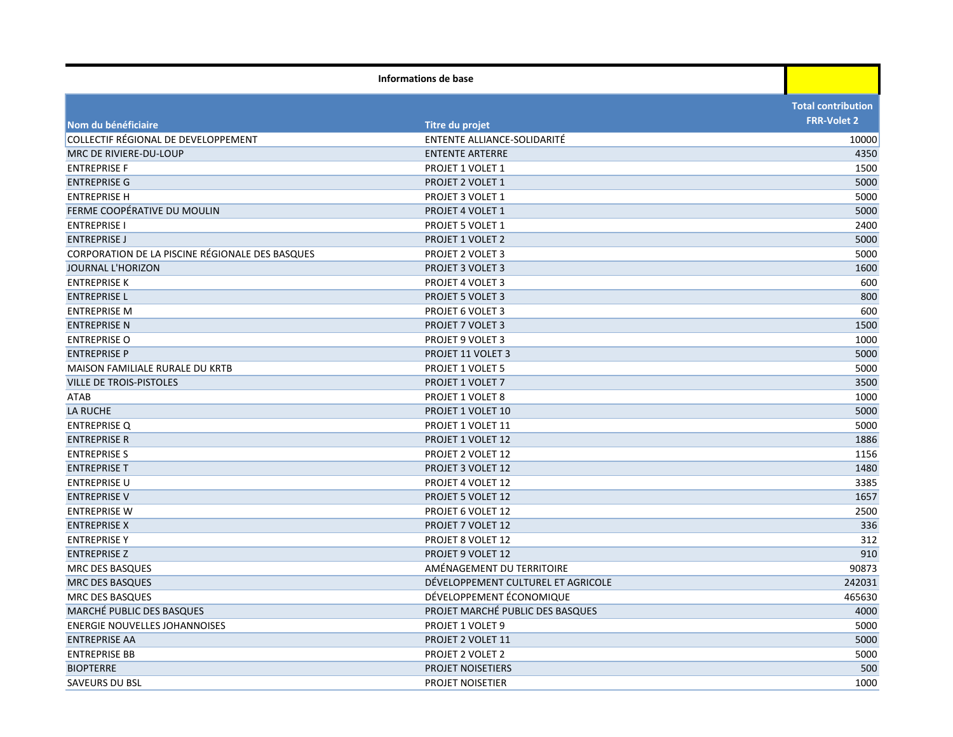| Informations de base                            |                                    |                           |
|-------------------------------------------------|------------------------------------|---------------------------|
|                                                 |                                    | <b>Total contribution</b> |
| Nom du bénéficiaire                             | Titre du projet                    | <b>FRR-Volet 2</b>        |
| COLLECTIF RÉGIONAL DE DEVELOPPEMENT             | ENTENTE ALLIANCE-SOLIDARITÉ        | 10000                     |
| MRC DE RIVIERE-DU-LOUP                          | <b>ENTENTE ARTERRE</b>             | 4350                      |
| <b>ENTREPRISE F</b>                             | PROJET 1 VOLET 1                   | 1500                      |
| <b>ENTREPRISE G</b>                             | PROJET 2 VOLET 1                   | 5000                      |
| <b>ENTREPRISE H</b>                             | PROJET 3 VOLET 1                   | 5000                      |
| FERME COOPÉRATIVE DU MOULIN                     | PROJET 4 VOLET 1                   | 5000                      |
| <b>ENTREPRISE I</b>                             | PROJET 5 VOLET 1                   | 2400                      |
| <b>ENTREPRISE J</b>                             | <b>PROJET 1 VOLET 2</b>            | 5000                      |
| CORPORATION DE LA PISCINE RÉGIONALE DES BASQUES | PROJET 2 VOLET 3                   | 5000                      |
| <b>JOURNAL L'HORIZON</b>                        | PROJET 3 VOLET 3                   | 1600                      |
| <b>ENTREPRISE K</b>                             | PROJET 4 VOLET 3                   | 600                       |
| <b>ENTREPRISE L</b>                             | PROJET 5 VOLET 3                   | 800                       |
| <b>ENTREPRISE M</b>                             | PROJET 6 VOLET 3                   | 600                       |
| <b>ENTREPRISE N</b>                             | <b>PROJET 7 VOLET 3</b>            | 1500                      |
| <b>ENTREPRISE O</b>                             | PROJET 9 VOLET 3                   | 1000                      |
| <b>ENTREPRISE P</b>                             | PROJET 11 VOLET 3                  | 5000                      |
| MAISON FAMILIALE RURALE DU KRTB                 | PROJET 1 VOLET 5                   | 5000                      |
| <b>VILLE DE TROIS-PISTOLES</b>                  | PROJET 1 VOLET 7                   | 3500                      |
| ATAB                                            | PROJET 1 VOLET 8                   | 1000                      |
| <b>LA RUCHE</b>                                 | <b>PROJET 1 VOLET 10</b>           | 5000                      |
| <b>ENTREPRISE Q</b>                             | PROJET 1 VOLET 11                  | 5000                      |
| <b>ENTREPRISE R</b>                             | PROJET 1 VOLET 12                  | 1886                      |
| <b>ENTREPRISE S</b>                             | PROJET 2 VOLET 12                  | 1156                      |
| <b>ENTREPRISE T</b>                             | PROJET 3 VOLET 12                  | 1480                      |
| <b>ENTREPRISE U</b>                             | PROJET 4 VOLET 12                  | 3385                      |
| <b>ENTREPRISE V</b>                             | PROJET 5 VOLET 12                  | 1657                      |
| <b>ENTREPRISE W</b>                             | PROJET 6 VOLET 12                  | 2500                      |
| <b>ENTREPRISE X</b>                             | PROJET 7 VOLET 12                  | 336                       |
| <b>ENTREPRISE Y</b>                             | PROJET 8 VOLET 12                  | 312                       |
| <b>ENTREPRISE Z</b>                             | PROJET 9 VOLET 12                  | 910                       |
| <b>MRC DES BASQUES</b>                          | AMÉNAGEMENT DU TERRITOIRE          | 90873                     |
| <b>MRC DES BASQUES</b>                          | DÉVELOPPEMENT CULTUREL ET AGRICOLE | 242031                    |
| MRC DES BASQUES                                 | DÉVELOPPEMENT ÉCONOMIQUE           | 465630                    |
| <b>MARCHÉ PUBLIC DES BASQUES</b>                | PROJET MARCHÉ PUBLIC DES BASQUES   | 4000                      |
| <b>ENERGIE NOUVELLES JOHANNOISES</b>            | PROJET 1 VOLET 9                   | 5000                      |
| <b>ENTREPRISE AA</b>                            | PROJET 2 VOLET 11                  | 5000                      |
| <b>ENTREPRISE BB</b>                            | PROJET 2 VOLET 2                   | 5000                      |
| <b>BIOPTERRE</b>                                | <b>PROJET NOISETIERS</b>           | 500                       |
| SAVEURS DU BSL                                  | PROJET NOISETIER                   | 1000                      |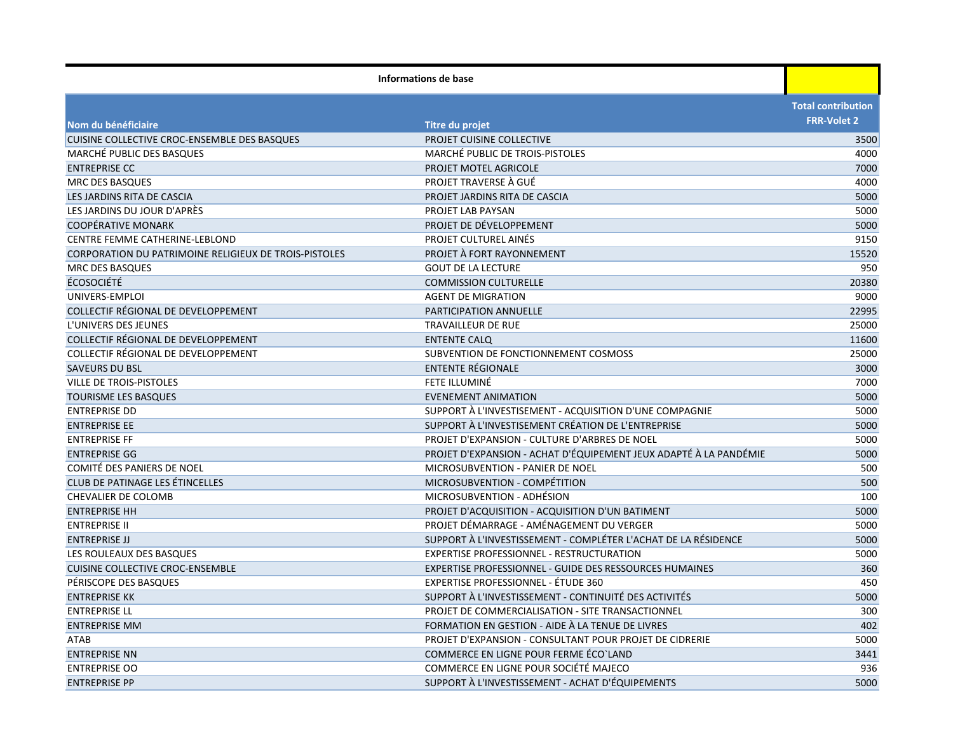| Informations de base                                  |                                                                   |                           |
|-------------------------------------------------------|-------------------------------------------------------------------|---------------------------|
|                                                       |                                                                   | <b>Total contribution</b> |
| Nom du bénéficiaire                                   | Titre du projet                                                   | <b>FRR-Volet 2</b>        |
| CUISINE COLLECTIVE CROC-ENSEMBLE DES BASQUES          | PROJET CUISINE COLLECTIVE                                         | 3500                      |
| MARCHÉ PUBLIC DES BASQUES                             | MARCHÉ PUBLIC DE TROIS-PISTOLES                                   | 4000                      |
| <b>ENTREPRISE CC</b>                                  | PROJET MOTEL AGRICOLE                                             | 7000                      |
| <b>MRC DES BASQUES</b>                                | PROJET TRAVERSE À GUÉ                                             | 4000                      |
| LES JARDINS RITA DE CASCIA                            | PROJET JARDINS RITA DE CASCIA                                     | 5000                      |
| LES JARDINS DU JOUR D'APRÈS                           | PROJET LAB PAYSAN                                                 | 5000                      |
| <b>COOPÉRATIVE MONARK</b>                             | PROJET DE DÉVELOPPEMENT                                           | 5000                      |
| CENTRE FEMME CATHERINE-LEBLOND                        | PROJET CULTUREL AINÉS                                             | 9150                      |
| CORPORATION DU PATRIMOINE RELIGIEUX DE TROIS-PISTOLES | PROJET À FORT RAYONNEMENT                                         | 15520                     |
| <b>MRC DES BASQUES</b>                                | <b>GOUT DE LA LECTURE</b>                                         | 950                       |
| <b>ÉCOSOCIÉTÉ</b>                                     | <b>COMMISSION CULTURELLE</b>                                      | 20380                     |
| UNIVERS-EMPLOI                                        | <b>AGENT DE MIGRATION</b>                                         | 9000                      |
| COLLECTIF RÉGIONAL DE DEVELOPPEMENT                   | PARTICIPATION ANNUELLE                                            | 22995                     |
| L'UNIVERS DES JEUNES                                  | TRAVAILLEUR DE RUE                                                | 25000                     |
| COLLECTIF RÉGIONAL DE DEVELOPPEMENT                   | <b>ENTENTE CALO</b>                                               | 11600                     |
| COLLECTIF RÉGIONAL DE DEVELOPPEMENT                   | SUBVENTION DE FONCTIONNEMENT COSMOSS                              | 25000                     |
| <b>SAVEURS DU BSL</b>                                 | ENTENTE RÉGIONALE                                                 | 3000                      |
| VILLE DE TROIS-PISTOLES                               | FETE ILLUMINÉ                                                     | 7000                      |
| <b>TOURISME LES BASQUES</b>                           | <b>EVENEMENT ANIMATION</b>                                        | 5000                      |
| <b>ENTREPRISE DD</b>                                  | SUPPORT À L'INVESTISEMENT - ACQUISITION D'UNE COMPAGNIE           | 5000                      |
| <b>ENTREPRISE EE</b>                                  | SUPPORT À L'INVESTISEMENT CRÉATION DE L'ENTREPRISE                | 5000                      |
| <b>ENTREPRISE FF</b>                                  | PROJET D'EXPANSION - CULTURE D'ARBRES DE NOEL                     | 5000                      |
| <b>ENTREPRISE GG</b>                                  | PROJET D'EXPANSION - ACHAT D'ÉQUIPEMENT JEUX ADAPTÉ À LA PANDÉMIE | 5000                      |
| COMITÉ DES PANIERS DE NOEL                            | MICROSUBVENTION - PANIER DE NOEL                                  | 500                       |
| CLUB DE PATINAGE LES ÉTINCELLES                       | MICROSUBVENTION - COMPÉTITION                                     | 500                       |
| <b>CHEVALIER DE COLOMB</b>                            | MICROSUBVENTION - ADHÉSION                                        | 100                       |
| <b>ENTREPRISE HH</b>                                  | PROJET D'ACQUISITION - ACQUISITION D'UN BATIMENT                  | 5000                      |
| <b>ENTREPRISE II</b>                                  | PROJET DÉMARRAGE - AMÉNAGEMENT DU VERGER                          | 5000                      |
| <b>ENTREPRISE JJ</b>                                  | SUPPORT À L'INVESTISSEMENT - COMPLÉTER L'ACHAT DE LA RÉSIDENCE    | 5000                      |
| LES ROULEAUX DES BASQUES                              | <b>EXPERTISE PROFESSIONNEL - RESTRUCTURATION</b>                  | 5000                      |
| <b>CUISINE COLLECTIVE CROC-ENSEMBLE</b>               | EXPERTISE PROFESSIONNEL - GUIDE DES RESSOURCES HUMAINES           | 360                       |
| PÉRISCOPE DES BASQUES                                 | EXPERTISE PROFESSIONNEL - ÉTUDE 360                               | 450                       |
| <b>ENTREPRISE KK</b>                                  | SUPPORT À L'INVESTISSEMENT - CONTINUITÉ DES ACTIVITÉS             | 5000                      |
| <b>ENTREPRISE LL</b>                                  | PROJET DE COMMERCIALISATION - SITE TRANSACTIONNEL                 | 300                       |
| <b>ENTREPRISE MM</b>                                  | FORMATION EN GESTION - AIDE À LA TENUE DE LIVRES                  | 402                       |
| ATAB                                                  | PROJET D'EXPANSION - CONSULTANT POUR PROJET DE CIDRERIE           | 5000                      |
| <b>ENTREPRISE NN</b>                                  | COMMERCE EN LIGNE POUR FERME ÉCO'LAND                             | 3441                      |
| <b>ENTREPRISE OO</b>                                  | COMMERCE EN LIGNE POUR SOCIÉTÉ MAJECO                             | 936                       |
| <b>ENTREPRISE PP</b>                                  | SUPPORT À L'INVESTISSEMENT - ACHAT D'ÉQUIPEMENTS                  | 5000                      |